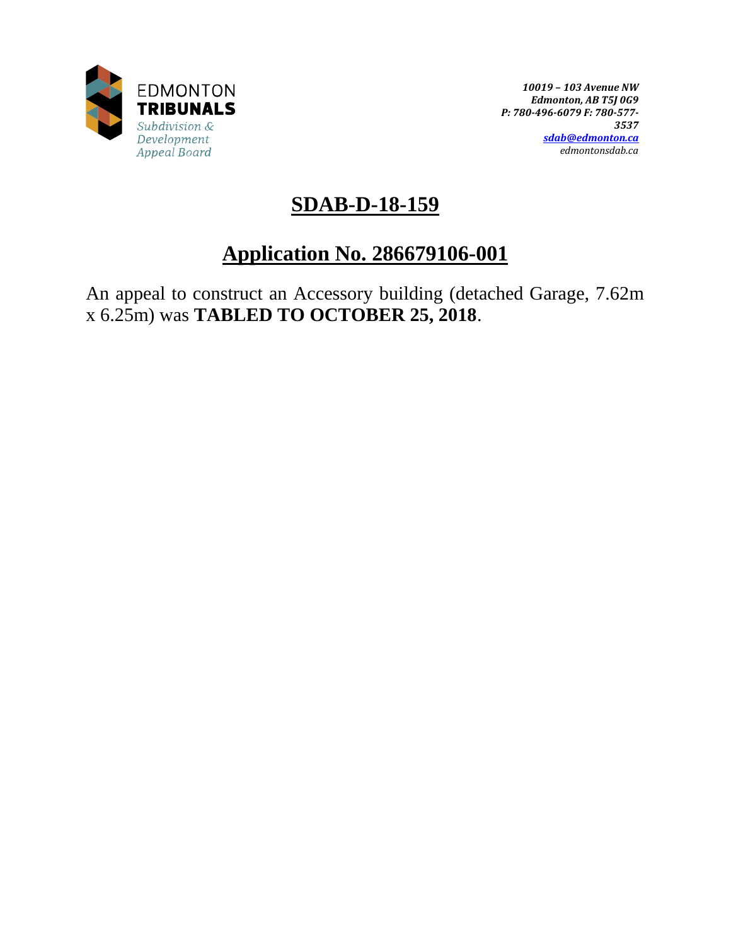

*10019 – 103 Avenue NW Edmonton, AB T5J 0G9 P: 780-496-6079 F: 780-577- 3537 [sdab@edmonton.ca](mailto:sdab@edmonton.ca) edmontonsdab.ca*

# **SDAB-D-18-159**

# **Application No. 286679106-001**

An appeal to construct an Accessory building (detached Garage, 7.62m x 6.25m) was **TABLED TO OCTOBER 25, 2018**.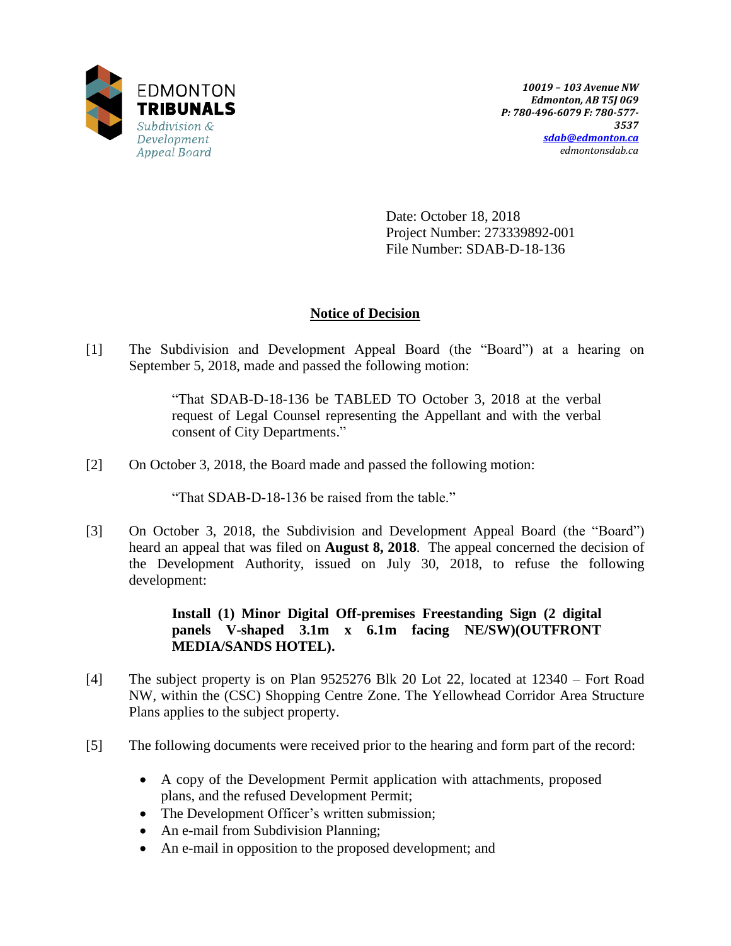

Date: October 18, 2018 Project Number: 273339892-001 File Number: SDAB-D-18-136

## **Notice of Decision**

[1] The Subdivision and Development Appeal Board (the "Board") at a hearing on September 5, 2018, made and passed the following motion:

> "That SDAB-D-18-136 be TABLED TO October 3, 2018 at the verbal request of Legal Counsel representing the Appellant and with the verbal consent of City Departments."

[2] On October 3, 2018, the Board made and passed the following motion:

"That SDAB-D-18-136 be raised from the table."

[3] On October 3, 2018, the Subdivision and Development Appeal Board (the "Board") heard an appeal that was filed on **August 8, 2018**. The appeal concerned the decision of the Development Authority, issued on July 30, 2018, to refuse the following development:

> **Install (1) Minor Digital Off-premises Freestanding Sign (2 digital panels V-shaped 3.1m x 6.1m facing NE/SW)(OUTFRONT MEDIA/SANDS HOTEL).**

- [4] The subject property is on Plan 9525276 Blk 20 Lot 22, located at 12340 Fort Road NW, within the (CSC) Shopping Centre Zone. The Yellowhead Corridor Area Structure Plans applies to the subject property.
- [5] The following documents were received prior to the hearing and form part of the record:
	- A copy of the Development Permit application with attachments, proposed plans, and the refused Development Permit;
	- The Development Officer's written submission;
	- An e-mail from Subdivision Planning;
	- An e-mail in opposition to the proposed development; and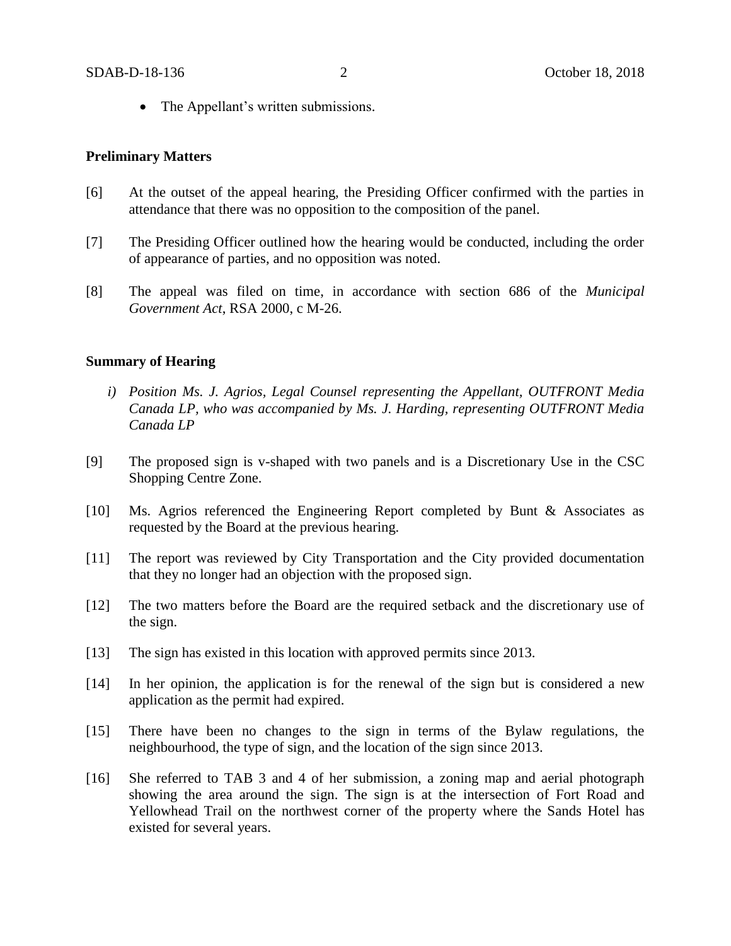• The Appellant's written submissions.

#### **Preliminary Matters**

- [6] At the outset of the appeal hearing, the Presiding Officer confirmed with the parties in attendance that there was no opposition to the composition of the panel.
- [7] The Presiding Officer outlined how the hearing would be conducted, including the order of appearance of parties, and no opposition was noted.
- [8] The appeal was filed on time, in accordance with section 686 of the *Municipal Government Act*, RSA 2000, c M-26.

#### **Summary of Hearing**

- *i) Position Ms. J. Agrios, Legal Counsel representing the Appellant, OUTFRONT Media Canada LP, who was accompanied by Ms. J. Harding, representing OUTFRONT Media Canada LP*
- [9] The proposed sign is v-shaped with two panels and is a Discretionary Use in the CSC Shopping Centre Zone.
- [10] Ms. Agrios referenced the Engineering Report completed by Bunt & Associates as requested by the Board at the previous hearing.
- [11] The report was reviewed by City Transportation and the City provided documentation that they no longer had an objection with the proposed sign.
- [12] The two matters before the Board are the required setback and the discretionary use of the sign.
- [13] The sign has existed in this location with approved permits since 2013.
- [14] In her opinion, the application is for the renewal of the sign but is considered a new application as the permit had expired.
- [15] There have been no changes to the sign in terms of the Bylaw regulations, the neighbourhood, the type of sign, and the location of the sign since 2013.
- [16] She referred to TAB 3 and 4 of her submission, a zoning map and aerial photograph showing the area around the sign. The sign is at the intersection of Fort Road and Yellowhead Trail on the northwest corner of the property where the Sands Hotel has existed for several years.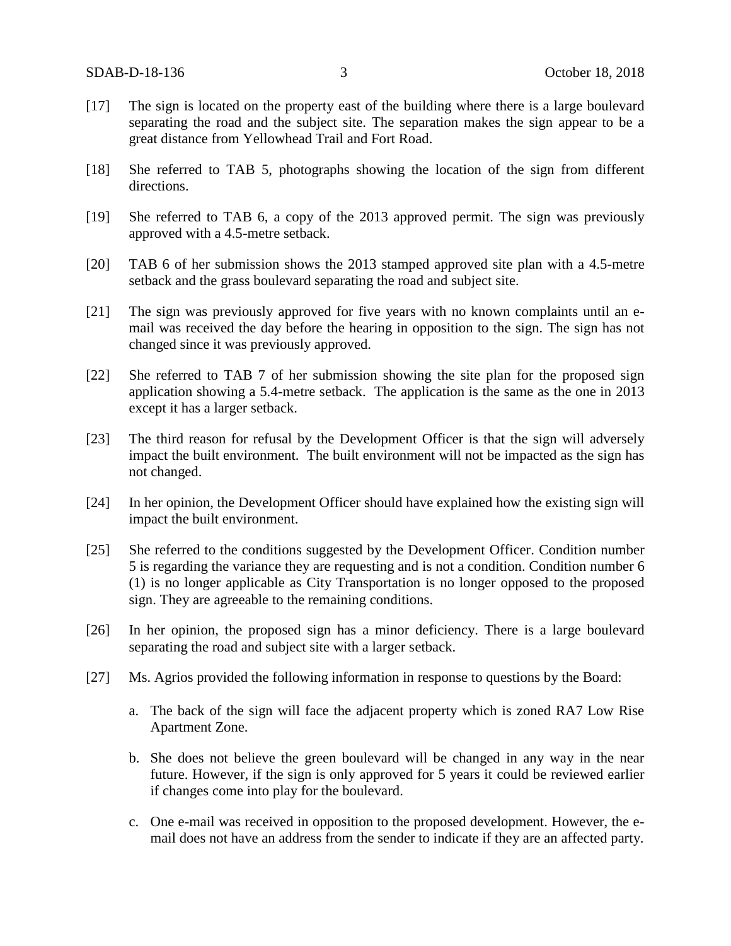- [17] The sign is located on the property east of the building where there is a large boulevard separating the road and the subject site. The separation makes the sign appear to be a great distance from Yellowhead Trail and Fort Road.
- [18] She referred to TAB 5, photographs showing the location of the sign from different directions.
- [19] She referred to TAB 6, a copy of the 2013 approved permit. The sign was previously approved with a 4.5-metre setback.
- [20] TAB 6 of her submission shows the 2013 stamped approved site plan with a 4.5-metre setback and the grass boulevard separating the road and subject site.
- [21] The sign was previously approved for five years with no known complaints until an email was received the day before the hearing in opposition to the sign. The sign has not changed since it was previously approved.
- [22] She referred to TAB 7 of her submission showing the site plan for the proposed sign application showing a 5.4-metre setback. The application is the same as the one in 2013 except it has a larger setback.
- [23] The third reason for refusal by the Development Officer is that the sign will adversely impact the built environment. The built environment will not be impacted as the sign has not changed.
- [24] In her opinion, the Development Officer should have explained how the existing sign will impact the built environment.
- [25] She referred to the conditions suggested by the Development Officer. Condition number 5 is regarding the variance they are requesting and is not a condition. Condition number 6 (1) is no longer applicable as City Transportation is no longer opposed to the proposed sign. They are agreeable to the remaining conditions.
- [26] In her opinion, the proposed sign has a minor deficiency. There is a large boulevard separating the road and subject site with a larger setback.
- [27] Ms. Agrios provided the following information in response to questions by the Board:
	- a. The back of the sign will face the adjacent property which is zoned RA7 Low Rise Apartment Zone.
	- b. She does not believe the green boulevard will be changed in any way in the near future. However, if the sign is only approved for 5 years it could be reviewed earlier if changes come into play for the boulevard.
	- c. One e-mail was received in opposition to the proposed development. However, the email does not have an address from the sender to indicate if they are an affected party.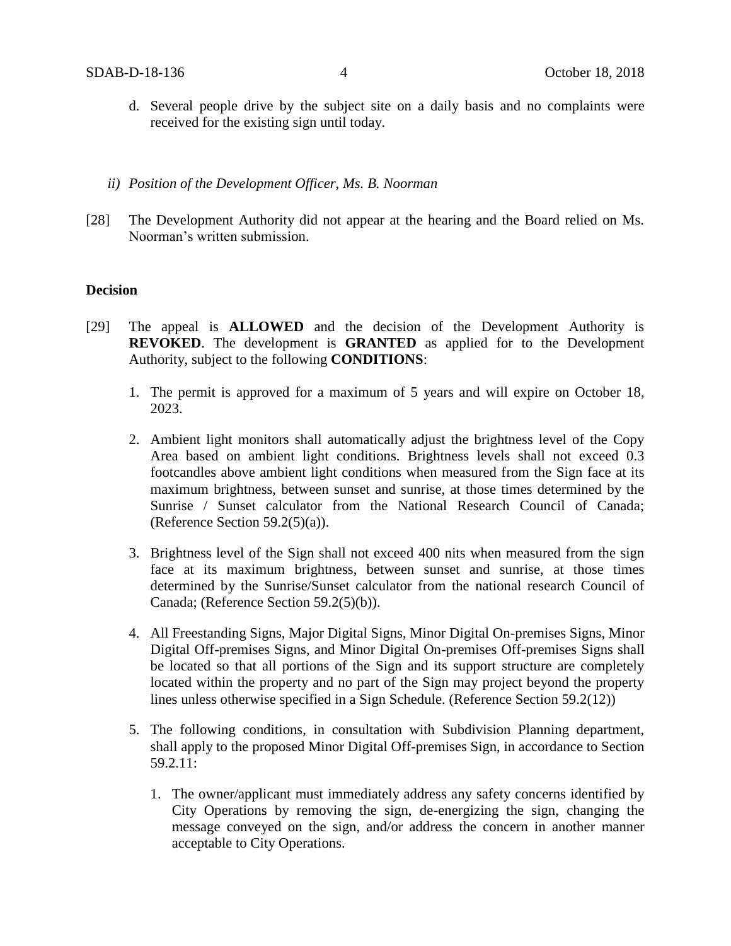- d. Several people drive by the subject site on a daily basis and no complaints were received for the existing sign until today.
- *ii) Position of the Development Officer, Ms. B. Noorman*
- [28] The Development Authority did not appear at the hearing and the Board relied on Ms. Noorman's written submission.

### **Decision**

- [29] The appeal is **ALLOWED** and the decision of the Development Authority is **REVOKED**. The development is **GRANTED** as applied for to the Development Authority, subject to the following **CONDITIONS**:
	- 1. The permit is approved for a maximum of 5 years and will expire on October 18, 2023.
	- 2. Ambient light monitors shall automatically adjust the brightness level of the Copy Area based on ambient light conditions. Brightness levels shall not exceed 0.3 footcandles above ambient light conditions when measured from the Sign face at its maximum brightness, between sunset and sunrise, at those times determined by the Sunrise / Sunset calculator from the National Research Council of Canada; (Reference Section  $59.2(5)(a)$ ).
	- 3. Brightness level of the Sign shall not exceed 400 nits when measured from the sign face at its maximum brightness, between sunset and sunrise, at those times determined by the Sunrise/Sunset calculator from the national research Council of Canada; (Reference Section 59.2(5)(b)).
	- 4. All Freestanding Signs, Major Digital Signs, Minor Digital On-premises Signs, Minor Digital Off-premises Signs, and Minor Digital On-premises Off-premises Signs shall be located so that all portions of the Sign and its support structure are completely located within the property and no part of the Sign may project beyond the property lines unless otherwise specified in a Sign Schedule. (Reference Section 59.2(12))
	- 5. The following conditions, in consultation with Subdivision Planning department, shall apply to the proposed Minor Digital Off-premises Sign, in accordance to Section 59.2.11:
		- 1. The owner/applicant must immediately address any safety concerns identified by City Operations by removing the sign, de-energizing the sign, changing the message conveyed on the sign, and/or address the concern in another manner acceptable to City Operations.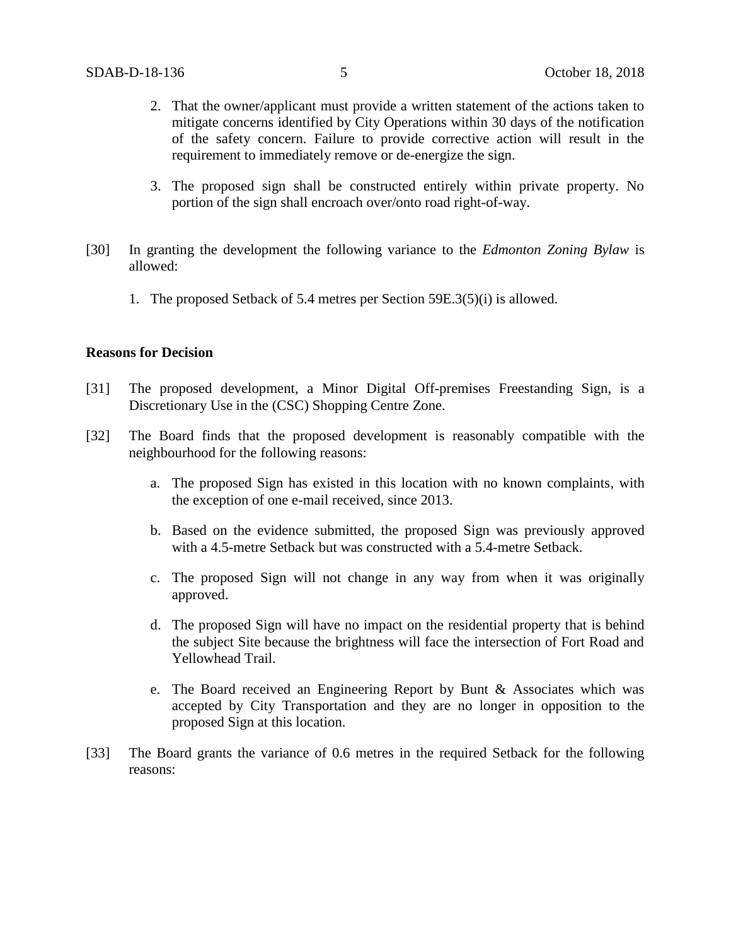- 2. That the owner/applicant must provide a written statement of the actions taken to mitigate concerns identified by City Operations within 30 days of the notification of the safety concern. Failure to provide corrective action will result in the requirement to immediately remove or de-energize the sign.
- 3. The proposed sign shall be constructed entirely within private property. No portion of the sign shall encroach over/onto road right-of-way.
- [30] In granting the development the following variance to the *Edmonton Zoning Bylaw* is allowed:
	- 1. The proposed Setback of 5.4 metres per Section 59E.3(5)(i) is allowed.

#### **Reasons for Decision**

- [31] The proposed development, a Minor Digital Off-premises Freestanding Sign, is a Discretionary Use in the (CSC) Shopping Centre Zone.
- [32] The Board finds that the proposed development is reasonably compatible with the neighbourhood for the following reasons:
	- a. The proposed Sign has existed in this location with no known complaints, with the exception of one e-mail received, since 2013.
	- b. Based on the evidence submitted, the proposed Sign was previously approved with a 4.5-metre Setback but was constructed with a 5.4-metre Setback.
	- c. The proposed Sign will not change in any way from when it was originally approved.
	- d. The proposed Sign will have no impact on the residential property that is behind the subject Site because the brightness will face the intersection of Fort Road and Yellowhead Trail.
	- e. The Board received an Engineering Report by Bunt & Associates which was accepted by City Transportation and they are no longer in opposition to the proposed Sign at this location.
- [33] The Board grants the variance of 0.6 metres in the required Setback for the following reasons: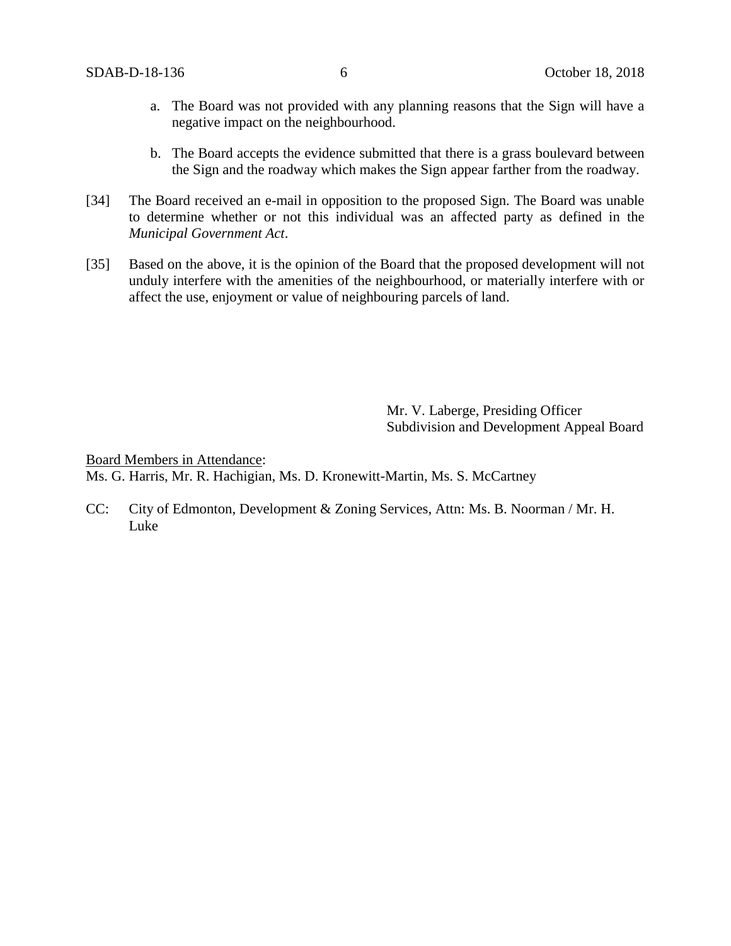- a. The Board was not provided with any planning reasons that the Sign will have a negative impact on the neighbourhood.
- b. The Board accepts the evidence submitted that there is a grass boulevard between the Sign and the roadway which makes the Sign appear farther from the roadway.
- [34] The Board received an e-mail in opposition to the proposed Sign. The Board was unable to determine whether or not this individual was an affected party as defined in the *Municipal Government Act*.
- [35] Based on the above, it is the opinion of the Board that the proposed development will not unduly interfere with the amenities of the neighbourhood, or materially interfere with or affect the use, enjoyment or value of neighbouring parcels of land.

Mr. V. Laberge, Presiding Officer Subdivision and Development Appeal Board

Board Members in Attendance: Ms. G. Harris, Mr. R. Hachigian, Ms. D. Kronewitt-Martin, Ms. S. McCartney

CC: City of Edmonton, Development & Zoning Services, Attn: Ms. B. Noorman / Mr. H. Luke